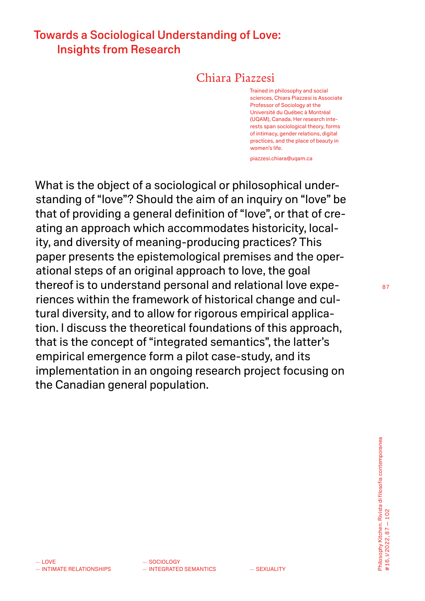# Towards a Sociological Understanding of Love: Insights from Research

## Chiara Piazzesi

Trained in philosophy and social sciences, Chiara Piazzesi is Associate Professor of Sociology at the Université du Québec à Montréal (UQAM), Canada. Her research interests span sociological theory, forms of intimacy, gender relations, digital practices, and the place of beauty in women's life.

piazzesi.chiara@uqam.ca

What is the object of a sociological or philosophical understanding of "love"? Should the aim of an inquiry on "love" be that of providing a general definition of "love", or that of creating an approach which accommodates historicity, locality, and diversity of meaning-producing practices? This paper presents the epistemological premises and the operational steps of an original approach to love, the goal thereof is to understand personal and relational love experiences within the framework of historical change and cultural diversity, and to allow for rigorous empirical application. I discuss the theoretical foundations of this approach, that is the concept of "integrated semantics", the latter's empirical emergence form a pilot case-study, and its implementation in an ongoing research project focusing on the Canadian general population.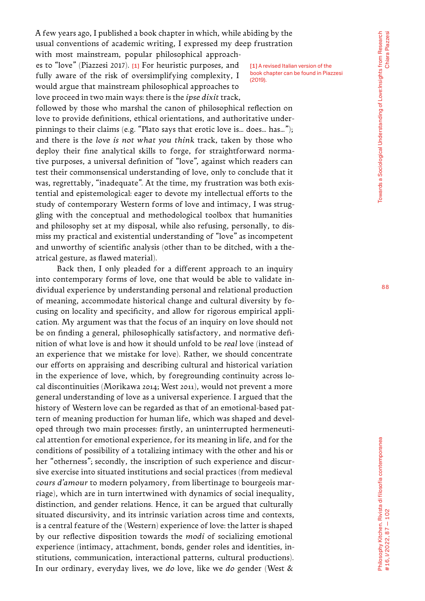A few years ago, I published a book chapter in which, while abiding by the usual conventions of academic writing, I expressed my deep frustration

with most mainstream, popular philosophical approaches to "love" (Piazzesi 2017). [1] For heuristic purposes, and fully aware of the risk of oversimplifying complexity, I would argue that mainstream philosophical approaches to love proceed in two main ways: there is the *ipse dixit* track,

[1] A revised Italian version of the book chapter can be found in Piazzesi (2019).

followed by those who marshal the canon of philosophical reflection on love to provide definitions, ethical orientations, and authoritative underpinnings to their claims (e.g. "Plato says that erotic love is… does… has…"); and there is the *love is not what you think* track, taken by those who deploy their fine analytical skills to forge, for straightforward normative purposes, a universal definition of "love", against which readers can test their commonsensical understanding of love, only to conclude that it was, regrettably, "inadequate". At the time, my frustration was both existential and epistemological: eager to devote my intellectual efforts to the study of contemporary Western forms of love and intimacy, I was struggling with the conceptual and methodological toolbox that humanities and philosophy set at my disposal, while also refusing, personally, to dismiss my practical and existential understanding of "love" as incompetent and unworthy of scientific analysis (other than to be ditched, with a theatrical gesture, as flawed material).

Back then, I only pleaded for a different approach to an inquiry into contemporary forms of love, one that would be able to validate individual experience by understanding personal and relational production of meaning, accommodate historical change and cultural diversity by focusing on locality and specificity, and allow for rigorous empirical application. My argument was that the focus of an inquiry on love should not be on finding a general, philosophically satisfactory, and normative definition of what love is and how it should unfold to be *real* love (instead of an experience that we mistake for love). Rather, we should concentrate our efforts on appraising and describing cultural and historical variation in the experience of love, which, by foregrounding continuity across local discontinuities (Morikawa 2014; West 2011), would not prevent a more general understanding of love as a universal experience. I argued that the history of Western love can be regarded as that of an emotional-based pattern of meaning production for human life, which was shaped and developed through two main processes: firstly, an uninterrupted hermeneutical attention for emotional experience, for its meaning in life, and for the conditions of possibility of a totalizing intimacy with the other and his or her "otherness"; secondly, the inscription of such experience and discursive exercise into situated institutions and social practices (from medieval *cours d'amour* to modern polyamory, from libertinage to bourgeois marriage), which are in turn intertwined with dynamics of social inequality, distinction, and gender relations. Hence, it can be argued that culturally situated discursivity, and its intrinsic variation across time and contexts, is a central feature of the (Western) experience of love: the latter is shaped by our reflective disposition towards the *modi* of socializing emotional experience (intimacy, attachment, bonds, gender roles and identities, institutions, communication, interactional patterns, cultural productions). In our ordinary, everyday lives, we *do* love, like we *do* gender (West &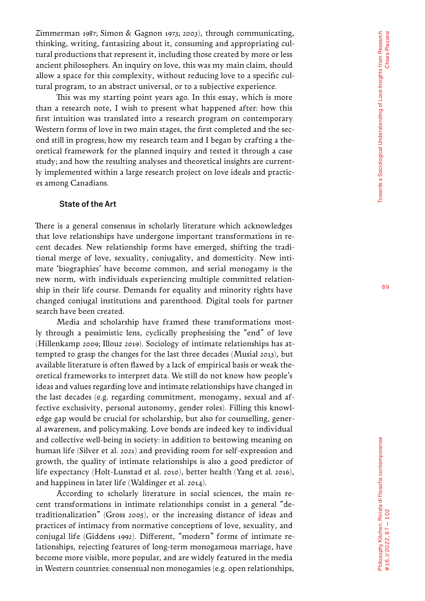Zimmerman 1987; Simon & Gagnon 1973; 2003), through communicating, thinking, writing, fantasizing about it, consuming and appropriating cul tural productions that represent it, including those created by more or less ancient philosophers. An inquiry on love, this was my main claim, should allow a space for this complexity, without reducing love to a specific cul tural program, to an abstract universal, or to a subjective experience.

This was my starting point years ago. In this essay, which is more than a research note, I wish to present what happened after: how this first intuition was translated into a research program on contemporary Western forms of love in two main stages, the first completed and the second still in progress; how my research team and I began by crafting a the oretical framework for the planned inquiry and tested it through a case study; and how the resulting analyses and theoretical insights are current ly implemented within a large research project on love ideals and practic es among Canadians.

### State of the Art

There is a general consensus in scholarly literature which acknowledges that love relationships have undergone important transformations in re cent decades. New relationship forms have emerged, shifting the tradi tional merge of love, sexuality, conjugality, and domesticity. New inti mate 'biographies' have become common, and serial monogamy is the new norm, with individuals experiencing multiple committed relation ship in their life course. Demands for equality and minority rights have changed conjugal institutions and parenthood. Digital tools for partner search have been created.

Media and scholarship have framed these transformations most ly through a pessimistic lens, cyclically prophesising the "end" of love (Hillenkamp 2009; Illouz 2019). Sociology of intimate relationships has at tempted to grasp the changes for the last three decades (Musiał 2013), but available literature is often flawed by a lack of empirical basis or weak the oretical frameworks to interpret data. We still do not know how people's ideas and values regarding love and intimate relationships have changed in the last decades (e.g. regarding commitment, monogamy, sexual and af fective exclusivity, personal autonomy, gender roles). Filling this knowl edge gap would be crucial for scholarship, but also for counselling, gener al awareness, and policymaking. Love bonds are indeed key to individual and collective well-being in society: in addition to bestowing meaning on human life (Silver et al. 2021) and providing room for self-expression and growth, the quality of intimate relationships is also a good predictor of life expectancy (Holt-Lunstad et al. 2010), better health (Yang et al *.* 2016), and happiness in later life (Waldinger et al. 2014).

According to scholarly literature in social sciences, the main re cent transformations in intimate relationships consist in a general "de traditionalization" (Gross 2005), or the increasing distance of ideas and practices of intimacy from normative conceptions of love, sexuality, and conjugal life (Giddens 1992). Different, "modern" forms of intimate re lationships, rejecting features of long-term monogamous marriage, have become more visible, more popular, and are widely featured in the media in Western countries: consensual non monogamies (e.g. open relationships,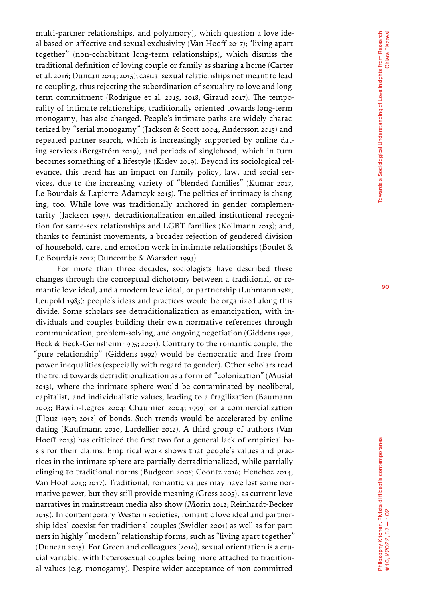multi-partner relationships, and polyamory), which question a love ide al based on affective and sexual exclusivity (Van Hooff 2017); "living apart together" (non-cohabitant long-term relationships), which dismiss the traditional definition of loving couple or family as sharing a home (Carter et al. 2016; Duncan 2014; 2015); casual sexual relationships not meant to lead to coupling, thus rejecting the subordination of sexuality to love and longterm commitment (Rodrigue et al. 2015, 2018; Giraud 2017). The temporality of intimate relationships, traditionally oriented towards long-term monogamy, has also changed. People's intimate paths are widely charac terized by "serial monogamy" (Jackson & Scott 2004; Andersson 2015) and repeated partner search, which is increasingly supported by online dat ing services (Bergström 2019), and periods of singlehood, which in turn becomes something of a lifestyle (Kislev 2019). Beyond its sociological rel evance, this trend has an impact on family policy, law, and social ser vices, due to the increasing variety of "blended families" (Kumar 2017; Le Bourdais & Lapierre-Adamcyk 2015). The politics of intimacy is chang ing, too. While love was traditionally anchored in gender complemen tarity (Jackson 1993), detraditionalization entailed institutional recogni tion for same-sex relationships and LGBT families (Kollmann 2013); and, thanks to feminist movements, a broader rejection of gendered division of household, care, and emotion work in intimate relationships (Boulet & Le Bourdais 2017; Duncombe & Marsden 1993).

For more than three decades, sociologists have described these changes through the conceptual dichotomy between a traditional, or ro mantic love ideal, and a modern love ideal, or partnership (Luhmann 1982; Leupold 1983): people's ideas and practices would be organized along this divide. Some scholars see detraditionalization as emancipation, with in dividuals and couples building their own normative references through communication, problem-solving, and ongoing negotiation (Giddens 1992; Beck & Beck-Gernsheim 1995; 2001). Contrary to the romantic couple, the "pure relationship" (Giddens 1992) would be democratic and free from power inequalities (especially with regard to gender). Other scholars read the trend towards detraditionalization as a form of "colonization" (Musiał 2013), where the intimate sphere would be contaminated by neoliberal, capitalist, and individualistic values, leading to a fragilization (Baumann 2003; Bawin-Legros 2004; Chaumier 2004; 1999) or a commercialization (Illouz 1997; 2012) of bonds. Such trends would be accelerated by online dating (Kaufmann 2010; Lardellier 2012). A third group of authors (Van Hooff 2013) has criticized the first two for a general lack of empirical ba sis for their claims. Empirical work shows that people's values and prac tices in the intimate sphere are partially detraditionalized, while partially clinging to traditional norms (Budgeon 2008; Coontz 2016; Henchoz 2014; Van Hoof 2013; 2017). Traditional, romantic values may have lost some nor mative power, but they still provide meaning (Gross 2005), as current love narratives in mainstream media also show (Morin 2012; Reinhardt-Becker 2015). In contemporary Western societies, romantic love ideal and partner ship ideal coexist for traditional couples (Swidler 2001) as well as for part ners in highly "modern" relationship forms, such as "living apart together" (Duncan 2015). For Green and colleagues (2016), sexual orientation is a cru cial variable, with heterosexual couples being more attached to tradition al values (e.g. monogamy). Despite wider acceptance of non-committed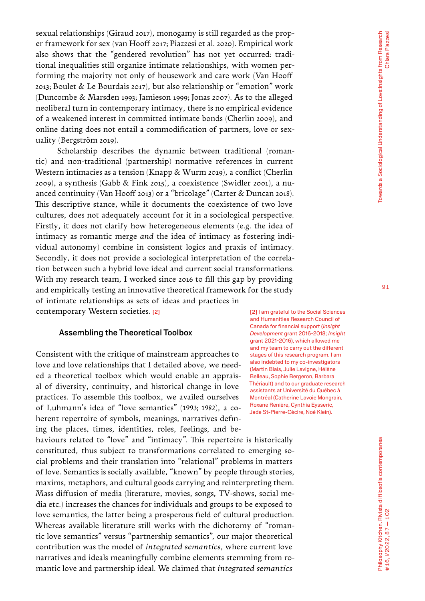sexual relationships (Giraud 2017), monogamy is still regarded as the proper framework for sex (van Hooff 2017; Piazzesi et al. 2020). Empirical work also shows that the "gendered revolution" has not yet occurred: traditional inequalities still organize intimate relationships, with women performing the majority not only of housework and care work (Van Hooff 2013; Boulet & Le Bourdais 2017), but also relationship or "emotion" work (Duncombe & Marsden 1993; Jamieson 1999; Jonas 2007). As to the alleged neoliberal turn in contemporary intimacy, there is no empirical evidence of a weakened interest in committed intimate bonds (Cherlin 2009), and online dating does not entail a commodification of partners, love or sexuality (Bergström 2019).

Scholarship describes the dynamic between traditional (romantic) and non-traditional (partnership) normative references in current Western intimacies as a tension (Knapp & Wurm 2019), a conflict (Cherlin 2009), a synthesis (Gabb & Fink 2015), a coexistence (Swidler 2001), a nuanced continuity (Van Hooff 2013) or a "bricolage" (Carter & Duncan 2018). This descriptive stance, while it documents the coexistence of two love cultures, does not adequately account for it in a sociological perspective. Firstly, it does not clarify how heterogeneous elements (e.g. the idea of intimacy as romantic merge *and* the idea of intimacy as fostering individual autonomy) combine in consistent logics and praxis of intimacy. Secondly, it does not provide a sociological interpretation of the correlation between such a hybrid love ideal and current social transformations. With my research team, I worked since 2016 to fill this gap by providing and empirically testing an innovative theoretical framework for the study of intimate relationships as sets of ideas and practices in contemporary Western societies. [2]

#### Assembling the Theoretical Toolbox

Consistent with the critique of mainstream approaches to love and love relationships that I detailed above, we needed a theoretical toolbox which would enable an appraisal of diversity, continuity, and historical change in love practices. To assemble this toolbox, we availed ourselves of Luhmann's idea of "love semantics" (1993; 1982), a coherent repertoire of symbols, meanings, narratives defining the places, times, identities, roles, feelings, and be-

haviours related to "love" and "intimacy". This repertoire is historically constituted, thus subject to transformations correlated to emerging social problems and their translation into "relational" problems in matters of love. Semantics is socially available, "known" by people through stories, maxims, metaphors, and cultural goods carrying and reinterpreting them. Mass diffusion of media (literature, movies, songs, TV-shows, social media etc.) increases the chances for individuals and groups to be exposed to love semantics, the latter being a prosperous field of cultural production. Whereas available literature still works with the dichotomy of "romantic love semantics" versus "partnership semantics", our major theoretical contribution was the model of *integrated semantics*, where current love narratives and ideals meaningfully combine elements stemming from romantic love and partnership ideal. We claimed that *integrated semantics*

[2] I am grateful to the Social Sciences and Humanities Research Council of Canada for financial support (*Insight Development* grant 2016-2018; *Insight* grant 2021-2016), which allowed me and my team to carry out the different stages of this research program. I am also indebted to my co-investigators (Martin Blais, Julie Lavigne, Hélène Belleau, Sophie Bergeron, Barbara Thériault) and to our graduate research assistants at Université du Québec à Montréal (Catherine Lavoie Mongrain, Roxane Renière, Cynthia Eysseric, Jade St-Pierre-Cécire, Noé Klein).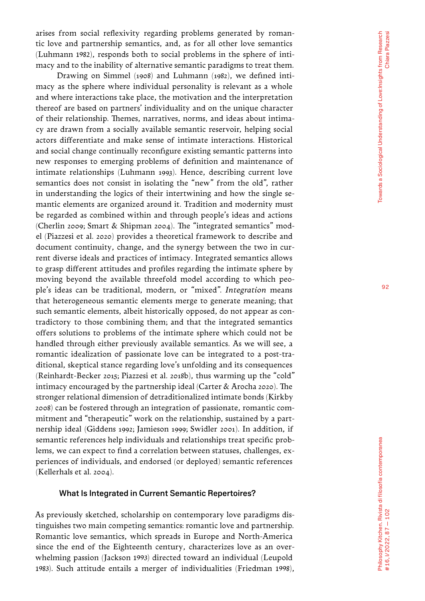arises from social reflexivity regarding problems generated by roman tic love and partnership semantics, and, as for all other love semantics (Luhmann 1982), responds both to social problems in the sphere of inti macy and to the inability of alternative semantic paradigms to treat them.

Drawing on Simmel (1908) and Luhmann (1982), we defined inti macy as the sphere where individual personality is relevant as a whole and where interactions take place, the motivation and the interpretation thereof are based on partners' individuality and on the unique character of their relationship. Themes, narratives, norms, and ideas about intima cy are drawn from a socially available semantic reservoir, helping social actors differentiate and make sense of intimate interactions. Historical and social change continually reconfigure existing semantic patterns into new responses to emerging problems of definition and maintenance of intimate relationships (Luhmann 1993). Hence, describing current love semantics does not consist in isolating the "new" from the old", rather in understanding the logics of their intertwining and how the single se mantic elements are organized around it. Tradition and modernity must be regarded as combined within and through people's ideas and actions (Cherlin 2009; Smart & Shipman 2004). The "integrated semantics" mod el (Piazzesi et al. 2020) provides a theoretical framework to describe and document continuity, change, and the synergy between the two in cur rent diverse ideals and practices of intimacy. Integrated semantics allows to grasp different attitudes and profiles regarding the intimate sphere by moving beyond the available threefold model according to which peo ple's ideas can be traditional, modern, or "mixed". *Integration* means that heterogeneous semantic elements merge to generate meaning; that such semantic elements, albeit historically opposed, do not appear as con tradictory to those combining them; and that the integrated semantics offers solutions to problems of the intimate sphere which could not be handled through either previously available semantics. As we will see, a romantic idealization of passionate love can be integrated to a post-tra ditional, skeptical stance regarding love's unfolding and its consequences (Reinhardt-Becker 2015; Piazzesi et al. 2018b), thus warming up the "cold" intimacy encouraged by the partnership ideal (Carter & Arocha 2020). The stronger relational dimension of detraditionalized intimate bonds (Kirkby 2008) can be fostered through an integration of passionate, romantic com mitment and "therapeutic" work on the relationship, sustained by a part nership ideal (Giddens 1992; Jamieson 1999; Swidler 2001). In addition, if semantic references help individuals and relationships treat specific prob lems, we can expect to find a correlation between statuses, challenges, ex periences of individuals, and endorsed (or deployed) semantic references (Kellerhals et al. 2004).

#### What Is Integrated in Current Semantic Repertoires?

As previously sketched, scholarship on contemporary love paradigms dis tinguishes two main competing semantics: romantic love and partnership. Romantic love semantics, which spreads in Europe and North-America since the end of the Eighteenth century, characterizes love as an over whelming passion (Jackson 1993) directed toward an individual (Leupold 1983). Such attitude entails a merger of individualities (Friedman 1998),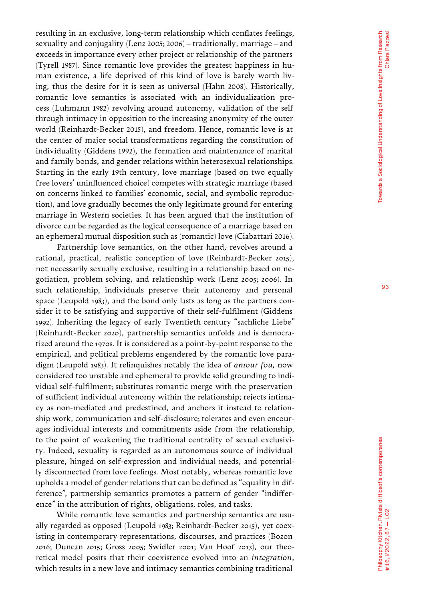resulting in an exclusive, long-term relationship which conflates feelings, sexuality and conjugality (Lenz 2005; 2006) – traditionally, marriage – and exceeds in importance every other project or relationship of the partners (Tyrell 1987). Since romantic love provides the greatest happiness in hu man existence, a life deprived of this kind of love is barely worth liv ing, thus the desire for it is seen as universal (Hahn 2008). Historically, romantic love semantics is associated with an individualization pro cess (Luhmann 1982) revolving around autonomy, validation of the self through intimacy in opposition to the increasing anonymity of the outer world (Reinhardt-Becker 2015), and freedom. Hence, romantic love is at the center of major social transformations regarding the constitution of individuality (Giddens 1992), the formation and maintenance of marital and family bonds, and gender relations within heterosexual relationships. Starting in the early 19th century, love marriage (based on two equally free lovers' uninfluenced choice) competes with strategic marriage (based on concerns linked to families' economic, social, and symbolic reproduc tion), and love gradually becomes the only legitimate ground for entering marriage in Western societies. It has been argued that the institution of divorce can be regarded as the logical consequence of a marriage based on an ephemeral mutual disposition such as (romantic) love (Ciabattari 2016).

Partnership love semantics, on the other hand, revolves around a rational, practical, realistic conception of love (Reinhardt-Becker 2015), not necessarily sexually exclusive, resulting in a relationship based on ne gotiation, problem solving, and relationship work (Lenz 2005; 2006). In such relationship, individuals preserve their autonomy and personal space (Leupold 1983), and the bond only lasts as long as the partners con sider it to be satisfying and supportive of their self-fulfilment (Giddens 1992). Inheriting the legacy of early Twentieth century "sachliche Liebe" (Reinhardt-Becker 2020), partnership semantics unfolds and is democra tized around the 1970s. It is considered as a point-by-point response to the empirical, and political problems engendered by the romantic love para digm (Leupold 1983). It relinquishes notably the idea of *amour fou,* now considered too unstable and ephemeral to provide solid grounding to indi vidual self-fulfilment; substitutes romantic merge with the preservation of sufficient individual autonomy within the relationship; rejects intima cy as non-mediated and predestined, and anchors it instead to relation ship work, communication and self-disclosure; tolerates and even encour ages individual interests and commitments aside from the relationship, to the point of weakening the traditional centrality of sexual exclusivi ty. Indeed, sexuality is regarded as an autonomous source of individual pleasure, hinged on self-expression and individual needs, and potential ly disconnected from love feelings. Most notably, whereas romantic love upholds a model of gender relations that can be defined as "equality in dif ference", partnership semantics promotes a pattern of gender "indiffer ence" in the attribution of rights, obligations, roles, and tasks.

While romantic love semantics and partnership semantics are usu ally regarded as opposed (Leupold 1983; Reinhardt-Becker 2015), yet coex isting in contemporary representations, discourses, and practices (Bozon 2016; Duncan 2015; Gross 2005; Swidler 2001; Van Hoof 2013), our theo retical model posits that their coexistence evolved into an *integration*, which results in a new love and intimacy semantics combining traditional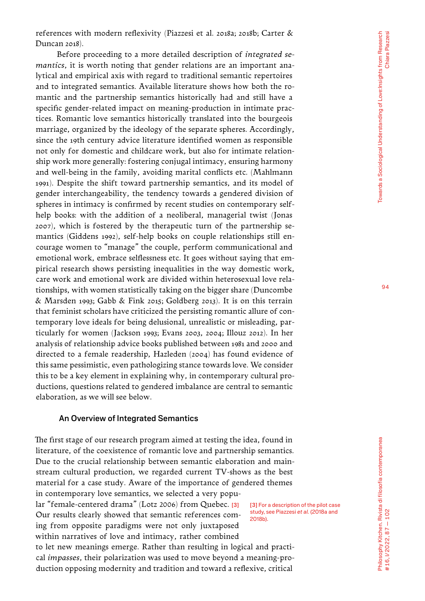Before proceeding to a more detailed description of *integrated semantics*, it is worth noting that gender relations are an important analytical and empirical axis with regard to traditional semantic repertoires and to integrated semantics. Available literature shows how both the romantic and the partnership semantics historically had and still have a specific gender-related impact on meaning-production in intimate practices. Romantic love semantics historically translated into the bourgeois marriage, organized by the ideology of the separate spheres. Accordingly, since the 19th century advice literature identified women as responsible not only for domestic and childcare work, but also for intimate relationship work more generally: fostering conjugal intimacy, ensuring harmony and well-being in the family, avoiding marital conflicts etc. (Mahlmann 1991). Despite the shift toward partnership semantics, and its model of gender interchangeability, the tendency towards a gendered division of spheres in intimacy is confirmed by recent studies on contemporary selfhelp books: with the addition of a neoliberal, managerial twist (Jonas 2007), which is fostered by the therapeutic turn of the partnership semantics (Giddens 1992), self-help books on couple relationships still encourage women to "manage" the couple, perform communicational and emotional work, embrace selflessness etc. It goes without saying that empirical research shows persisting inequalities in the way domestic work, care work and emotional work are divided within heterosexual love relationships, with women statistically taking on the bigger share (Duncombe & Marsden 1993; Gabb & Fink 2015; Goldberg 2013). It is on this terrain that feminist scholars have criticized the persisting romantic allure of contemporary love ideals for being delusional, unrealistic or misleading, particularly for women (Jackson 1993; Evans 2003, 2004; Illouz 2012). In her analysis of relationship advice books published between 1981 and 2000 and directed to a female readership, Hazleden (2004) has found evidence of this same pessimistic, even pathologizing stance towards love. We consider this to be a key element in explaining why, in contemporary cultural productions, questions related to gendered imbalance are central to semantic elaboration, as we will see below.

#### An Overview of Integrated Semantics

The first stage of our research program aimed at testing the idea, found in literature, of the coexistence of romantic love and partnership semantics. Due to the crucial relationship between semantic elaboration and mainstream cultural production, we regarded current TV-shows as the best material for a case study. Aware of the importance of gendered themes in contemporary love semantics, we selected a very popu-

lar "female-centered drama" (Lotz 2006) from Quebec. [3] Our results clearly showed that semantic references coming from opposite paradigms were not only juxtaposed within narratives of love and intimacy, rather combined

[3] For a description of the pilot case study, see Piazzesi *et al.* (2018a and 2018b).

to let new meanings emerge. Rather than resulting in logical and practical *impasses*, their polarization was used to move beyond a meaning-production opposing modernity and tradition and toward a reflexive, critical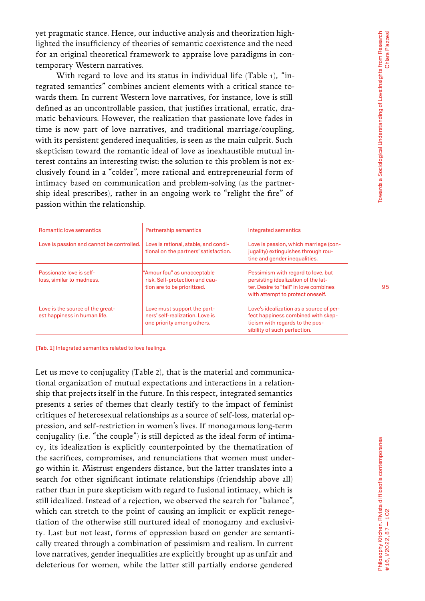yet pragmatic stance. Hence, our inductive analysis and theorization highlighted the insufficiency of theories of semantic coexistence and the need for an original theoretical framework to appraise love paradigms in contemporary Western narratives.

With regard to love and its status in individual life (Table 1), "integrated semantics" combines ancient elements with a critical stance towards them. In current Western love narratives, for instance, love is still defined as an uncontrollable passion, that justifies irrational, erratic, dramatic behaviours. However, the realization that passionate love fades in time is now part of love narratives, and traditional marriage/coupling, with its persistent gendered inequalities, is seen as the main culprit. Such skepticism toward the romantic ideal of love as inexhaustible mutual interest contains an interesting twist: the solution to this problem is not exclusively found in a "colder", more rational and entrepreneurial form of intimacy based on communication and problem-solving (as the partnership ideal prescribes), rather in an ongoing work to "relight the fire" of passion within the relationship.

| <b>Romantic love semantics</b>                                   | <b>Partnership semantics</b>                                                                 | Integrated semantics                                                                                                                                    |
|------------------------------------------------------------------|----------------------------------------------------------------------------------------------|---------------------------------------------------------------------------------------------------------------------------------------------------------|
| Love is passion and cannot be controlled.                        | Love is rational, stable, and condi-<br>tional on the partners' satisfaction.                | Love is passion, which marriage (con-<br>jugality) extinguishes through rou-<br>tine and gender inequalities.                                           |
| Passionate love is self-<br>loss, similar to madness.            | "Amour fou" as unacceptable<br>risk. Self-protection and cau-<br>tion are to be prioritized. | Pessimism with regard to love, but<br>persisting idealization of the lat-<br>ter. Desire to "fall" in love combines<br>with attempt to protect oneself. |
| Love is the source of the great-<br>est happiness in human life. | Love must support the part-<br>ners' self-realization. Love is<br>one priority among others. | Love's idealization as a source of per-<br>fect happiness combined with skep-<br>ticism with regards to the pos-<br>sibility of such perfection.        |

[Tab. 1] Integrated semantics related to love feelings.

Let us move to conjugality (Table 2), that is the material and communicational organization of mutual expectations and interactions in a relationship that projects itself in the future. In this respect, integrated semantics presents a series of themes that clearly testify to the impact of feminist critiques of heterosexual relationships as a source of self-loss, material oppression, and self-restriction in women's lives. If monogamous long-term conjugality (i.e. "the couple") is still depicted as the ideal form of intimacy, its idealization is explicitly counterpointed by the thematization of the sacrifices, compromises, and renunciations that women must undergo within it. Mistrust engenders distance, but the latter translates into a search for other significant intimate relationships (friendship above all) rather than in pure skepticism with regard to fusional intimacy, which is still idealized. Instead of a rejection, we observed the search for "balance", which can stretch to the point of causing an implicit or explicit renegotiation of the otherwise still nurtured ideal of monogamy and exclusivity. Last but not least, forms of oppression based on gender are semantically treated through a combination of pessimism and realism. In current love narratives, gender inequalities are explicitly brought up as unfair and deleterious for women, while the latter still partially endorse gendered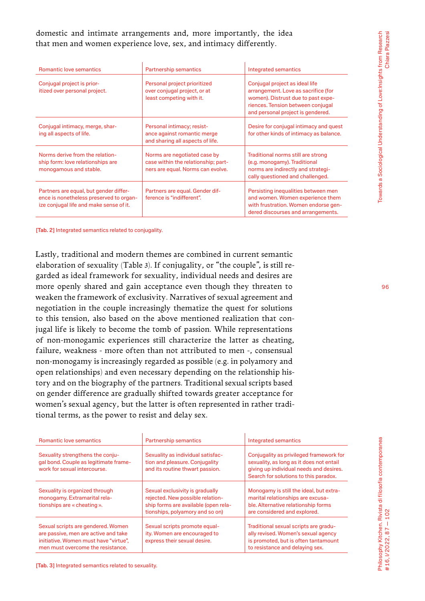### domestic and intimate arrangements and, more importantly, the idea that men and women experience love, sex, and intimacy differently.

| Romantic love semantics                                                                                                      | <b>Partnership semantics</b>                                                                             | Integrated semantics                                                                                                                                                                  |
|------------------------------------------------------------------------------------------------------------------------------|----------------------------------------------------------------------------------------------------------|---------------------------------------------------------------------------------------------------------------------------------------------------------------------------------------|
| Conjugal project is prior-<br>itized over personal project.                                                                  | Personal project prioritized<br>over conjugal project, or at<br>least competing with it.                 | Conjugal project as ideal life<br>arrangement. Love as sacrifice (for<br>women). Distrust due to past expe-<br>riences. Tension between conjugal<br>and personal project is gendered. |
| Conjugal intimacy, merge, shar-<br>ing all aspects of life.                                                                  | Personal intimacy; resist-<br>ance against romantic merge<br>and sharing all aspects of life.            | Desire for conjugal intimacy and quest<br>for other kinds of intimacy as balance.                                                                                                     |
| Norms derive from the relation-<br>ship form: love relationships are<br>monogamous and stable.                               | Norms are negotiated case by<br>case within the relationship; part-<br>ners are equal. Norms can evolve. | Traditional norms still are strong<br>(e.g. monogamy). Traditional<br>norms are indirectly and strategi-<br>cally questioned and challenged.                                          |
| Partners are equal, but gender differ-<br>ence is nonetheless preserved to organ-<br>ize conjugal life and make sense of it. | Partners are equal. Gender dif-<br>ference is "indifferent".                                             | Persisting inequalities between men<br>and women. Women experience them<br>with frustration. Women endorse gen-<br>dered discourses and arrangements.                                 |

[Tab. 2] Integrated semantics related to conjugality.

Lastly, traditional and modern themes are combined in current semantic elaboration of sexuality (Table 3). If conjugality, or "the couple", is still regarded as ideal framework for sexuality, individual needs and desires are more openly shared and gain acceptance even though they threaten to weaken the framework of exclusivity. Narratives of sexual agreement and negotiation in the couple increasingly thematize the quest for solutions to this tension, also based on the above mentioned realization that conjugal life is likely to become the tomb of passion. While representations of non-monogamic experiences still characterize the latter as cheating, failure, weakness - more often than not attributed to men -, consensual non-monogamy is increasingly regarded as possible (e.g. in polyamory and open relationships) and even necessary depending on the relationship history and on the biography of the partners. Traditional sexual scripts based on gender difference are gradually shifted towards greater acceptance for women's sexual agency, but the latter is often represented in rather traditional terms, as the power to resist and delay sex.

| <b>Romantic love semantics</b>                                                                                                                           | <b>Partnership semantics</b>                                                                                                                   | Integrated semantics                                                                                                                                                    |
|----------------------------------------------------------------------------------------------------------------------------------------------------------|------------------------------------------------------------------------------------------------------------------------------------------------|-------------------------------------------------------------------------------------------------------------------------------------------------------------------------|
| Sexuality strengthens the conju-<br>gal bond. Couple as legitimate frame-<br>work for sexual intercourse.                                                | Sexuality as individual satisfac-<br>tion and pleasure. Conjugality<br>and its routine thwart passion.                                         | Conjugality as privileged framework for<br>sexuality, as long as it does not entail<br>giving up individual needs and desires.<br>Search for solutions to this paradox. |
| Sexuality is organized through<br>monogamy. Extramarital rela-<br>tionships are « cheating ».                                                            | Sexual exclusivity is gradually<br>rejected. New possible relation-<br>ship forms are available (open rela-<br>tionships, polyamory and so on) | Monogamy is still the ideal, but extra-<br>marital relationships are excusa-<br>ble. Alternative relationship forms<br>are considered and explored.                     |
| Sexual scripts are gendered. Women<br>are passive, men are active and take<br>initiative. Women must have "virtue",<br>men must overcome the resistance. | Sexual scripts promote equal-<br>ity. Women are encouraged to<br>express their sexual desire.                                                  | Traditional sexual scripts are gradu-<br>ally revised. Women's sexual agency<br>is promoted, but is often tantamount<br>to resistance and delaying sex.                 |

96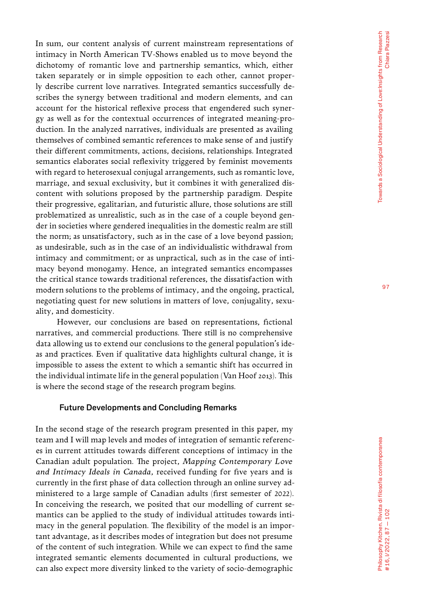In sum, our content analysis of current mainstream representations of intimacy in North American TV-Shows enabled us to move beyond the dichotomy of romantic love and partnership semantics, which, either taken separately or in simple opposition to each other, cannot proper ly describe current love narratives. Integrated semantics successfully de scribes the synergy between traditional and modern elements, and can account for the historical reflexive process that engendered such syner gy as well as for the contextual occurrences of integrated meaning-pro duction. In the analyzed narratives, individuals are presented as availing themselves of combined semantic references to make sense of and justify their different commitments, actions, decisions, relationships. Integrated semantics elaborates social reflexivity triggered by feminist movements with regard to heterosexual conjugal arrangements, such as romantic love, marriage, and sexual exclusivity, but it combines it with generalized dis content with solutions proposed by the partnership paradigm. Despite their progressive, egalitarian, and futuristic allure, those solutions are still problematized as unrealistic, such as in the case of a couple beyond gen der in societies where gendered inequalities in the domestic realm are still the norm; as unsatisfactory, such as in the case of a love beyond passion; as undesirable, such as in the case of an individualistic withdrawal from intimacy and commitment; or as unpractical, such as in the case of inti macy beyond monogamy. Hence, an integrated semantics encompasses the critical stance towards traditional references, the dissatisfaction with modern solutions to the problems of intimacy, and the ongoing, practical, negotiating quest for new solutions in matters of love, conjugality, sexu ality, and domesticity.

However, our conclusions are based on representations, fictional narratives, and commercial productions. There still is no comprehensive data allowing us to extend our conclusions to the general population's ide as and practices. Even if qualitative data highlights cultural change, it is impossible to assess the extent to which a semantic shift has occurred in the individual intimate life in the general population (Van Hoof 2013). This is where the second stage of the research program begins.

#### Future Developments and Concluding Remarks

In the second stage of the research program presented in this paper, my team and I will map levels and modes of integration of semantic referenc es in current attitudes towards different conceptions of intimacy in the Canadian adult population. The project, *Mapping Contemporary Love and Intimacy Ideals in Canada*, received funding for five years and is currently in the first phase of data collection through an online survey ad ministered to a large sample of Canadian adults (first semester of 2022). In conceiving the research, we posited that our modelling of current semantics can be applied to the study of individual attitudes towards inti macy in the general population. The flexibility of the model is an impor tant advantage, as it describes modes of integration but does not presume of the content of such integration. While we can expect to find the same integrated semantic elements documented in cultural productions, we can also expect more diversity linked to the variety of socio-demographic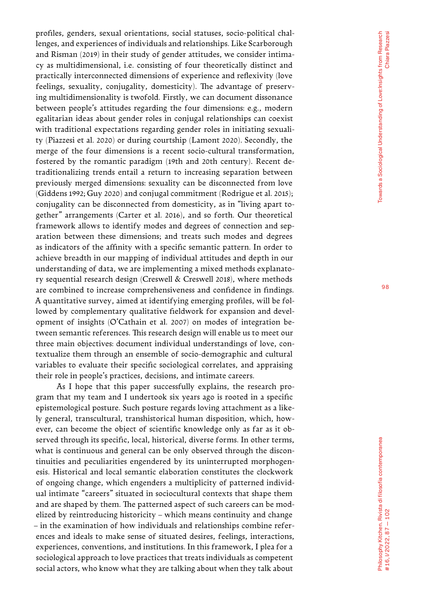profiles, genders, sexual orientations, social statuses, socio-political chal lenges, and experiences of individuals and relationships. Like Scarborough and Risman (2019) in their study of gender attitudes, we consider intima cy as multidimensional, i.e. consisting of four theoretically distinct and practically interconnected dimensions of experience and reflexivity (love feelings, sexuality, conjugality, domesticity). The advantage of preserv ing multidimensionality is twofold. Firstly, we can document dissonance between people's attitudes regarding the four dimensions: e.g., modern egalitarian ideas about gender roles in conjugal relationships can coexist with traditional expectations regarding gender roles in initiating sexuali ty (Piazzesi et al. 2020) or during courtship (Lamont 2020). Secondly, the merge of the four dimensions is a recent socio-cultural transformation, fostered by the romantic paradigm (19th and 20th century). Recent de traditionalizing trends entail a return to increasing separation between previously merged dimensions: sexuality can be disconnected from love (Giddens 1992; Guy 2020) and conjugal commitment (Rodrigue et al. 2015); conjugality can be disconnected from domesticity, as in "living apart to gether" arrangements (Carter et al. 2016), and so forth. Our theoretical framework allows to identify modes and degrees of connection and sep aration between these dimensions; and treats such modes and degrees as indicators of the affinity with a specific semantic pattern. In order to achieve breadth in our mapping of individual attitudes and depth in our understanding of data, we are implementing a mixed methods explanato ry sequential research design (Creswell & Creswell 2018), where methods are combined to increase comprehensiveness and confidence in findings. A quantitative survey, aimed at identifying emerging profiles, will be fol lowed by complementary qualitative fieldwork for expansion and devel opment of insights (O'Cathain et al. 2007) on modes of integration be tween semantic references. This research design will enable us to meet our three main objectives: document individual understandings of love, con textualize them through an ensemble of socio-demographic and cultural variables to evaluate their specific sociological correlates, and appraising their role in people's practices, decisions, and intimate careers.

As I hope that this paper successfully explains, the research pro gram that my team and I undertook six years ago is rooted in a specific epistemological posture. Such posture regards loving attachment as a like ly general, transcultural, transhistorical human disposition, which, how ever, can become the object of scientific knowledge only as far as it observed through its specific, local, historical, diverse forms. In other terms, what is continuous and general can be only observed through the discon tinuities and peculiarities engendered by its uninterrupted morphogen esis. Historical and local semantic elaboration constitutes the clockwork of ongoing change, which engenders a multiplicity of patterned individ ual intimate "careers" situated in sociocultural contexts that shape them and are shaped by them. The patterned aspect of such careers can be mod elized by reintroducing historicity – which means continuity and change – in the examination of how individuals and relationships combine refer ences and ideals to make sense of situated desires, feelings, interactions, experiences, conventions, and institutions. In this framework, I plea for a sociological approach to love practices that treats individuals as competent social actors, who know what they are talking about when they talk about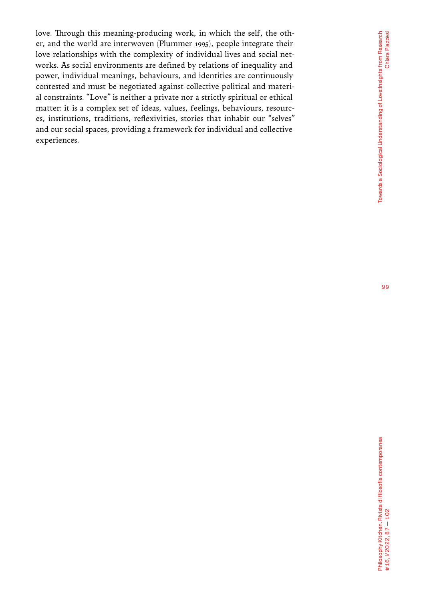love. Through this meaning-producing work, in which the self, the other, and the world are interwoven (Plummer 1995), people integrate their love relationships with the complexity of individual lives and social networks. As social environments are defined by relations of inequality and power, individual meanings, behaviours, and identities are continuously contested and must be negotiated against collective political and material constraints. "Love" is neither a private nor a strictly spiritual or ethical matter: it is a complex set of ideas, values, feelings, behaviours, resources, institutions, traditions, reflexivities, stories that inhabit our "selves" and our social spaces, providing a framework for individual and collective experiences.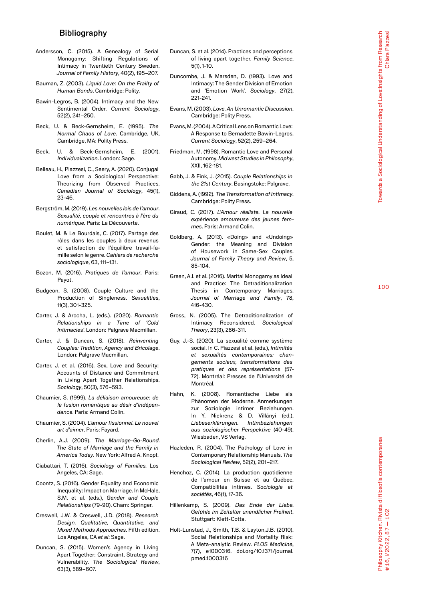#### Bibliography

- Andersson, C. (2015). A Genealogy of Serial Monogamy: Shifting Regulations of Intimacy in Twentieth Century Sweden. *Journal of Family History*, 40(2), 195–207.
- Bauman, Z. (2003). *Liquid Love: On the Frailty of Human Bonds*. Cambridge: Polity.
- Bawin-Legros, B. (2004). Intimacy and the New Sentimental Order. *Current Sociology*, 52(2), 241–250.
- Beck, U. & Beck-Gernsheim, E. (1995). *The Normal Chaos of Love*. Cambridge, UK, Cambridge, MA: Polity Press.
- Beck, U. & Beck-Gernsheim, E. (2001). *Individualization*. London: Sage.
- Belleau, H., Piazzesi, C., Seery, A. (2020). Conjugal Love from a Sociological Perspective: Theorizing from Observed Practices. *Canadian Journal of Sociology*, 45(1), 23-46.
- Bergström, M. (2019). *Les nouvelles lois de l'amour* . *Sexualité, couple et rencontres à l'ère du numérique.* Paris: La Découverte.
- Boulet, M. & Le Bourdais, C. (2017). Partage des rôles dans les couples à deux revenus et satisfaction de l'équilibre travail-fa mille selon le genre. *Cahiers de recherche sociologique*, 63, 111–131.
- Bozon, M. (2016). *Pratiques de l'amour*. Paris: Payot.
- Budgeon, S. (2008). Couple Culture and the Production of Singleness. *Sexualities*, 11(3), 301-325.
- Carter, J. & Arocha, L. (eds.). (2020). *Romantic Relationships in a Time of 'Cold Intimacies'.* London: Palgrave Macmillan.
- Carter, J. & Duncan, S. (2018). *Reinventing Couples: Tradition, Agency and Bricolage*. London: Palgrave Macmillan.
- Carter, J. et al. (2016). Sex, Love and Security: Accounts of Distance and Commitment in Living Apart Together Relationships. *Sociology*, 50(3), 576–593.
- Chaumier, S. (1999). *La déliaison amoureuse: de la fusion romantique au désir d'indépen dance*. Paris: Armand Colin.
- Chaumier, S. (2004). *L'amour fissionnel. Le nouvel art d'aimer*. Paris: Fayard.
- Cherlin, A.J. (2009). *The Marriage-Go-Round. The State of Marriage and the Family in America Today*. New York: Alfred A. Knopf.
- Ciabattari, T. (2016). *Sociology of Families.* Los Angeles, CA: Sage.
- Coontz, S. (2016). Gender Equality and Economic Inequality: Impact on Marriage. In McHale, S.M. et al. (eds.), *Gender and Couple Relationships* (79-90). Cham: Springer.
- Creswell, J.W. & Creswell, J.D. (2018). *Research Design. Qualitative, Quantitative, and Mixed Methods Approaches*. Fifth edition. Los Angeles, CA *et al*: Sage.
- Duncan, S. (2015). Women's Agency in Living Apart Together: Constraint, Strategy and Vulnerability. *The Sociological Review*, 63(3), 589–607.
- Duncan, S. et al. (2014). Practices and perceptions of living apart together. *Family Science*, 5(1), 1-10.
- Duncombe, J. & Marsden, D. (1993). Love and Intimacy: The Gender Division of Emotion and 'Emotion Work'. *Sociology*, 27(2), 221-241.
- Evans, M. (2003). *Love. An Unromantic Discussion*. Cambridge: Polity Press.
- Evans, M. (2004). A Critical Lens on Romantic Love: A Response to Bernadette Bawin-Legros. *Current Sociology*, 52(2), 259–264.
- Friedman, M. (1998). Romantic Love and Personal Autonomy. *Midwest Studies in Philosophy*, XXII, 162-181.
- Gabb, J. & Fink, J. (2015). *Couple Relationships in the 21st Century*. Basingstoke: Palgrave.
- Giddens, A. (1992). *The Transformation of Intimacy*. Cambridge: Polity Press.
- Giraud, C. (2017). *L'Amour réaliste. La nouvelle expérience amoureuse des jeunes fem mes*. Paris: Armand Colin.
- Goldberg, A. (2013). «Doing» and «Undoing» Gender: the Meaning and Division of Housework in Same-Sex Couples. *Journal of Family Theory and Review*, 5, 85-104.
- Green, A.I. et al. (2016). Marital Monogamy as Ideal and Practice: The Detraditionalization Thesis in Contemporary Marriages. *Journal of Marriage and Family*, 78, 416-430.
- Gross, N. (2005). The Detraditionalization of Intimacy Reconsidered. *Sociological Theory*, 23(3), 286-311.
- Guy, J.-S. (2020). La sexualité comme système social. In C. Piazzesi et al. (eds.), *Intimités et sexualités contemporaines: chan gements sociaux, transformations des pratiques et des représentations* (57- 72). Montréal: Presses de l'Université de Montréal.
- Hahn, K. (2008). Romantische Liebe als Phänomen der Moderne. Anmerkungen zur Soziologie intimer Beziehungen. In Y. Niekrenz & D. Villányi (ed.), *Liebeserklärungen. Intimbeziehungen aus soziologischer Perspektive* (40-49). Wiesbaden, VS Verlag.
- Hazleden, R. (2004). The Pathology of Love in Contemporary Relationship Manuals. *The Sociological Review*, 52(2), 201–217.
- Henchoz, C. (2014). La production quotidienne de l'amour en Suisse et au Québec. Compatibilités intimes. *Sociologie et sociétés*, 46(1), 17-36.
- Hillenkamp, S. (2009). *Das Ende der Liebe. Gefühle im Zeitalter unendlicher Freiheit*. Stuttgart: Klett-Cotta.
- Holt-Lunstad, J., Smith, T.B. & Layton,J.B. (2010). Social Relationships and Mortality Risk: A Meta-analytic Review. *PLOS Medicine*, 7(7), e1000316. doi.org/10.1371/journal. pmed.1000316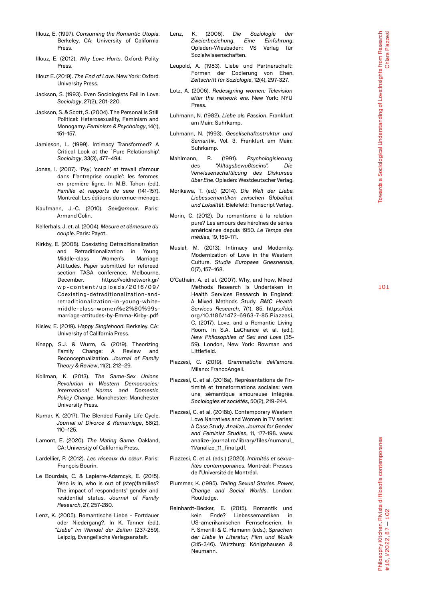- Illouz, E. (1997). *Consuming the Romantic Utopia*. Berkeley, CA: University of California Press.
- Illouz, E. (2012). *Why Love Hurts*. Oxford: Polity Press.
- Illouz E. (2019). *The End of Love*. New York: Oxford University Press.
- Jackson, S. (1993). Even Sociologists Fall in Love. *Sociology*, 27(2), 201-220.
- Jackson, S. & Scott, S. (2004). The Personal Is Still Political: Heterosexuality, Feminism and Monogamy. *Feminism & Psychology*, 14(1), 151–157.
- Jamieson, L. (1999). Intimacy Transformed? A Critical Look at the `Pure Relationship'. *Sociology*, 33(3), 477–494.
- Jonas, I. (2007). 'Psy', 'coach' et travail d'amour dans l''entreprise couple': les femmes en première ligne. In M.B. Tahon (ed.), *Famille et rapports de sexe* (141-157). Montréal: Les éditions du remue-ménage.
- Kaufmann, J.-C. (2010). *Sex@amour* . Paris: Armand Colin.
- Kellerhals, J. et. al. (2004). *Mesure et démesure du couple.* Paris: Payot.
- Kirkby, E. (2008). Coexisting Detraditionalization and Retraditionalization in Young Middle-class Women's Marriage Attitudes. Paper submitted for refereed section TASA conference, Melbourne, December. https://voidnetwork.gr/ wp-content/uploads/2016/09/ Coexisting-detraditionalization-andretraditionalization-in-young-whitemiddle-class-women%e2%80%99smarriage-attitudes-by-Emma-Kirby-.pdf
- Kislev, E. (2019). *Happy Singlehood*. Berkeley. CA: University of California Press.
- Knapp, S.J. & Wurm, G. (2019). Theorizing Family Change: A Review and Reconceptualization. *Journal of Family Theory & Review*, 11(2), 212–29.
- Kollman, K. (2013). *The Same-Sex Unions Revolution in Western Democracies: International Norms and Domestic Policy Change*. Manchester: Manchester University Press.
- Kumar, K. (2017). The Blended Family Life Cycle. *Journal of Divorce & Remarriage*, 58(2), 110–125.
- Lamont, E. (2020). *The Mating Game*. Oakland, CA: University of California Press.
- Lardellier, P. (2012). *Les réseaux du cœur*. Paris: François Bourin.
- Le Bourdais, C. & Lapierre-Adamcyk, E. (2015). Who is in, who is out of (step)families? The impact of respondents' gender and residential status. *Journal of Family Research*, 27, 257-280.
- Lenz, K. (2005). Romantische Liebe Fortdauer oder Niedergang?. In K. Tanner (ed.), *"Liebe" im Wandel der Zeiten* (237-259). Leipzig, Evangelische Verlagsanstalt.
- Lenz, K. (2006). *Die Soziologie der Zweierbeziehung. Eine Einführung*. Opladen-Wiesbaden: VS Verlag für Sozialwissenschaften.
- Leupold, A. (1983). Liebe und Partnerschaft: Formen der Codierung von Ehen. *Zeitschrift für Soziologie*, 12(4), 297-327.
- Lotz, A. (2006). *Redesigning women: Television after the network era*. New York: NYU Press.
- Luhmann, N. (1982). *Liebe als Passion*. Frankfurt am Main: Suhrkamp.
- Luhmann, N. (1993). *Gesellschaftsstruktur und Semantik*. Vol. 3. Frankfurt am Main: Suhrkamp.
- Mahlmann, R. (1991). *Psychologisierung des "Alltagsbewußtseins". Die Verwissenschaftlicung des Diskurses über Ehe*. Opladen: Westdeutscher Verlag.
- Morikawa, T. (ed.) (2014). *Die Welt der Liebe. Liebessemantiken zwischen Globalität und Lokalität*. Bielefeld: Transcript Verlag.
- Morin, C. (2012). Du romantisme à la relation pure? Les amours des héroïnes de séries américaines depuis 1950. *Le Temps des médias*, 19, 159-171.
- Musiał, M. (2013). Intimacy and Modernity. Modernization of Love in the Western Culture. *Studia Europaea Gnesnensia*, 0(7), 157–168.
- O'Cathain, A. et al. (2007). Why, and how, Mixed Methods Research is Undertaken in Health Services Research in England: A Mixed Methods Study. *BMC Health Services Research*, 7(1), 85. [https://doi.](https://doi.org/10.1186/1472-6963-7-85) [org/10.1186/1472-6963-7-85](https://doi.org/10.1186/1472-6963-7-85).Piazzesi, C. (2017). Love, and a Romantic Living Room. In S.A. LaChance et al. (ed.), *New Philosophies of Sex and Love* (35- 59). London, New York: Rowman and Littlefield.
- Piazzesi, C. (2019). *Grammatiche dell'amore*. Milano: FrancoAngeli.
- Piazzesi, C. et al. (2018a). Représentations de l'in timité et transformations sociales: vers une sémantique amoureuse intégrée. *Sociologies et sociétés*, 50(2), 219-244.
- Piazzesi, C. et al. (2018b). Contemporary Western Love Narratives and Women in TV series: A Case Study. *Analize. Journal for Gender and Feminist Studies*, 11, 177-198. [www.](http://www.analize-journal.ro/library/files/numarul_%252011/analize_11_final.pdf) [analize-journal.ro/library/files/numarul\\_](http://www.analize-journal.ro/library/files/numarul_%252011/analize_11_final.pdf) [11/analize\\_11\\_final.pdf](http://www.analize-journal.ro/library/files/numarul_%252011/analize_11_final.pdf).
- Piazzesi, C. et al. (eds.) (2020). *Intimités et sexua lités contemporaines*. Montréal: Presses de l'Université de Montréal.
- Plummer, K. (1995). *Telling Sexual Stories. Power, Change and Social Worlds*. London: Routledge.
- Reinhardt-Becker, E. (2015). Romantik und kein Ende? Liebessemantiken in US-amerikanischen Fernsehserien. In F. Smerilli & C. Hamann (eds.), *Sprachen der Liebe in Literatur, Film und Musik*  (315-346). Würzburg: Königshausen & Neumann.